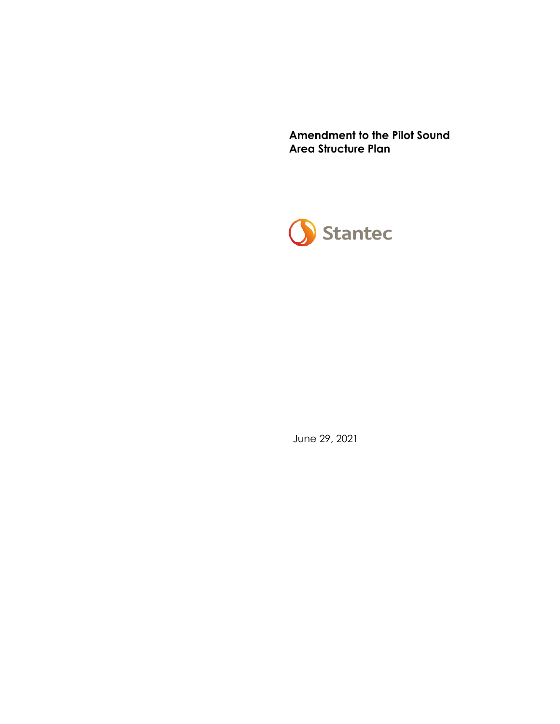**Amendment to the Pilot Sound Area Structure Plan**



June 29, 2021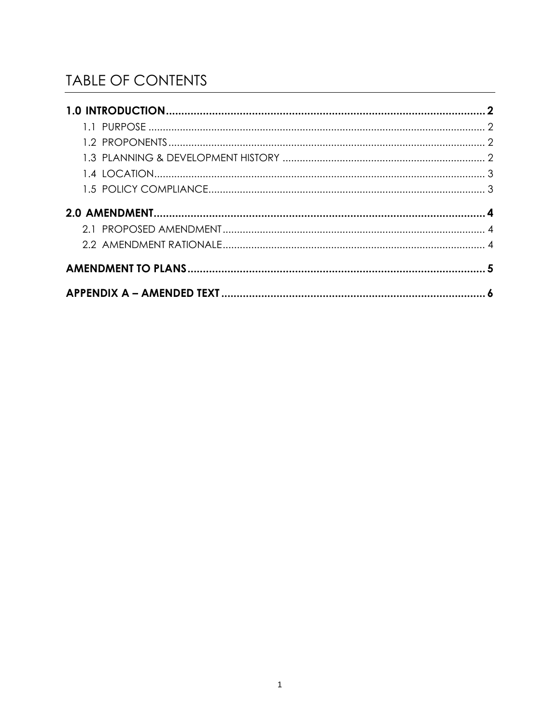# **TABLE OF CONTENTS**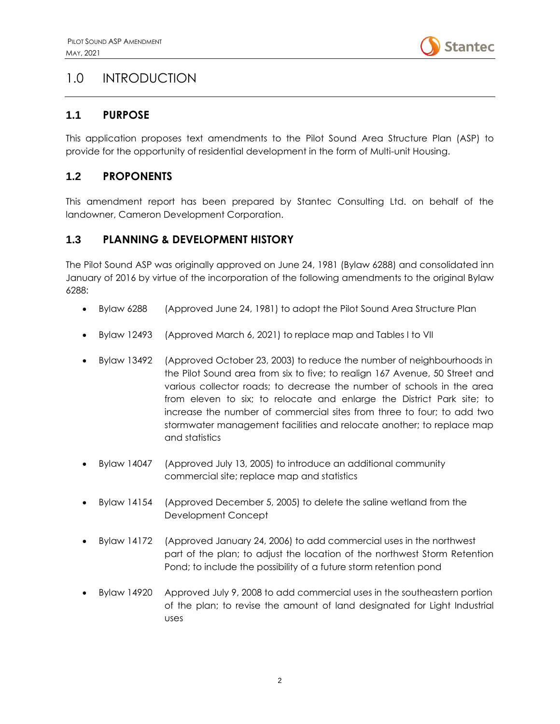

### <span id="page-2-0"></span>1.0 INTRODUCTION

#### <span id="page-2-1"></span>**1.1 PURPOSE**

This application proposes text amendments to the Pilot Sound Area Structure Plan (ASP) to provide for the opportunity of residential development in the form of Multi-unit Housing.

#### <span id="page-2-2"></span>**1.2 PROPONENTS**

This amendment report has been prepared by Stantec Consulting Ltd. on behalf of the landowner, Cameron Development Corporation.

#### <span id="page-2-3"></span>**1.3 PLANNING & DEVELOPMENT HISTORY**

The Pilot Sound ASP was originally approved on June 24, 1981 (Bylaw 6288) and consolidated inn January of 2016 by virtue of the incorporation of the following amendments to the original Bylaw 6288:

- Bylaw 6288 (Approved June 24, 1981) to adopt the Pilot Sound Area Structure Plan
- Bylaw 12493 (Approved March 6, 2021) to replace map and Tables I to VII
- Bylaw 13492 (Approved October 23, 2003) to reduce the number of neighbourhoods in the Pilot Sound area from six to five; to realign 167 Avenue, 50 Street and various collector roads; to decrease the number of schools in the area from eleven to six; to relocate and enlarge the District Park site; to increase the number of commercial sites from three to four; to add two stormwater management facilities and relocate another; to replace map and statistics
- Bylaw 14047 (Approved July 13, 2005) to introduce an additional community commercial site; replace map and statistics
- Bylaw 14154 (Approved December 5, 2005) to delete the saline wetland from the Development Concept
- Bylaw 14172 (Approved January 24, 2006) to add commercial uses in the northwest part of the plan; to adjust the location of the northwest Storm Retention Pond; to include the possibility of a future storm retention pond
- Bylaw 14920 Approved July 9, 2008 to add commercial uses in the southeastern portion of the plan; to revise the amount of land designated for Light Industrial uses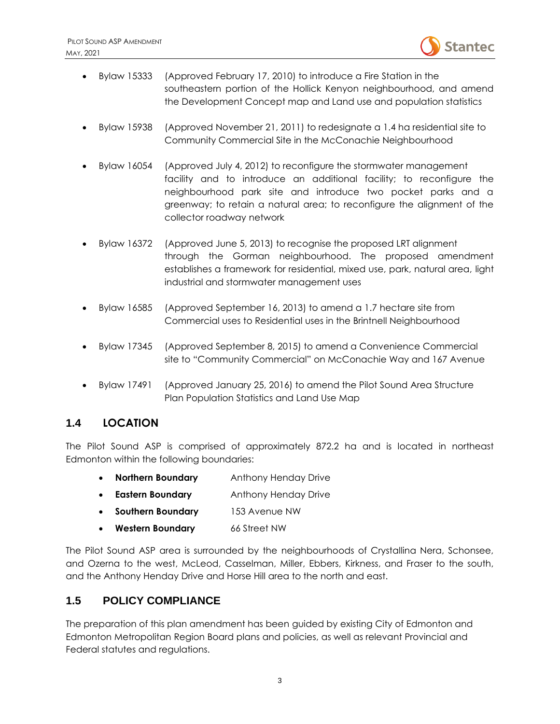

- Bylaw 15333 (Approved February 17, 2010) to introduce a Fire Station in the southeastern portion of the Hollick Kenyon neighbourhood, and amend the Development Concept map and Land use and population statistics
- Bylaw 15938 (Approved November 21, 2011) to redesignate a 1.4 ha residential site to Community Commercial Site in the McConachie Neighbourhood
- Bylaw 16054 (Approved July 4, 2012) to reconfigure the stormwater management facility and to introduce an additional facility; to reconfigure the neighbourhood park site and introduce two pocket parks and a greenway; to retain a natural area; to reconfigure the alignment of the collector roadway network
- Bylaw 16372 (Approved June 5, 2013) to recognise the proposed LRT alignment through the Gorman neighbourhood. The proposed amendment establishes a framework for residential, mixed use, park, natural area, light industrial and stormwater management uses
- Bylaw 16585 (Approved September 16, 2013) to amend a 1.7 hectare site from Commercial uses to Residential uses in the Brintnell Neighbourhood
- Bylaw 17345 (Approved September 8, 2015) to amend a Convenience Commercial site to "Community Commercial" on McConachie Way and 167 Avenue
- Bylaw 17491 (Approved January 25, 2016) to amend the Pilot Sound Area Structure Plan Population Statistics and Land Use Map

#### <span id="page-3-0"></span>**1.4 LOCATION**

The Pilot Sound ASP is comprised of approximately 872.2 ha and is located in northeast Edmonton within the following boundaries:

- **Northern Boundary** Anthony Henday Drive
- **Eastern Boundary** Anthony Henday Drive
- **Southern Boundary** 153 Avenue NW
- **Western Boundary** 66 Street NW

The Pilot Sound ASP area is surrounded by the neighbourhoods of Crystallina Nera, Schonsee, and Ozerna to the west, McLeod, Casselman, Miller, Ebbers, Kirkness, and Fraser to the south, and the Anthony Henday Drive and Horse Hill area to the north and east.

#### <span id="page-3-1"></span>**1.5 POLICY COMPLIANCE**

The preparation of this plan amendment has been guided by existing City of Edmonton and Edmonton Metropolitan Region Board plans and policies, as well as relevant Provincial and Federal statutes and regulations.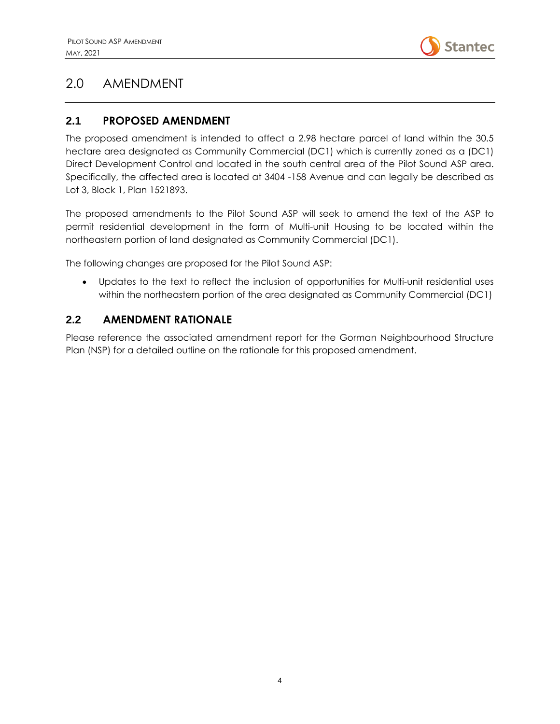

### <span id="page-4-0"></span>2.0 AMENDMENT

#### <span id="page-4-1"></span>**2.1 PROPOSED AMENDMENT**

The proposed amendment is intended to affect a 2.98 hectare parcel of land within the 30.5 hectare area designated as Community Commercial (DC1) which is currently zoned as a (DC1) Direct Development Control and located in the south central area of the Pilot Sound ASP area. Specifically, the affected area is located at 3404 -158 Avenue and can legally be described as Lot 3, Block 1, Plan 1521893.

The proposed amendments to the Pilot Sound ASP will seek to amend the text of the ASP to permit residential development in the form of Multi-unit Housing to be located within the northeastern portion of land designated as Community Commercial (DC1).

The following changes are proposed for the Pilot Sound ASP:

• Updates to the text to reflect the inclusion of opportunities for Multi-unit residential uses within the northeastern portion of the area designated as Community Commercial (DC1)

#### <span id="page-4-2"></span>**2.2 AMENDMENT RATIONALE**

Please reference the associated amendment report for the Gorman Neighbourhood Structure Plan (NSP) for a detailed outline on the rationale for this proposed amendment.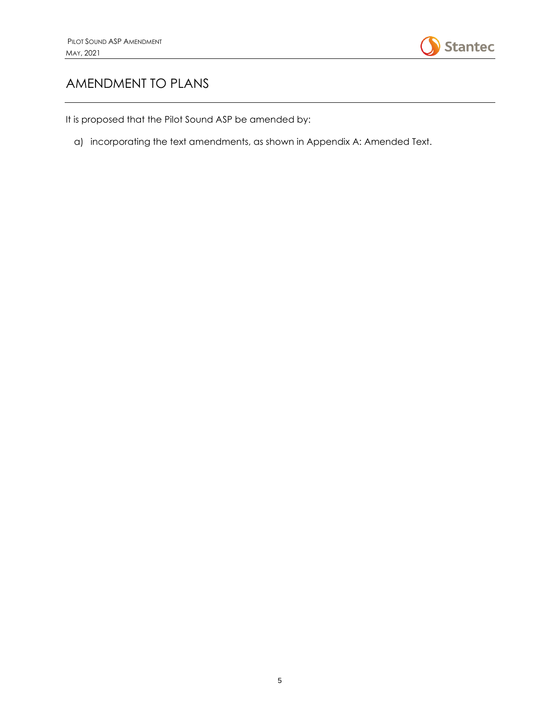

## <span id="page-5-0"></span>AMENDMENT TO PLANS

It is proposed that the Pilot Sound ASP be amended by:

a) incorporating the text amendments, as shown in Appendix A: Amended Text.